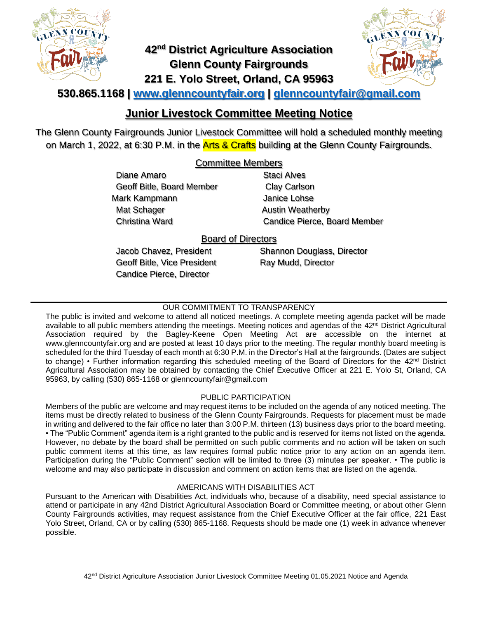

# **42nd District Agriculture Association Glenn County Fairgrounds 221 E. Yolo Street, Orland, CA 95963**



## **530.865.1168 | [www.glenncountyfair.org](http://www.glenncountyfair.org/) | [glenncountyfair@gmail.com](mailto:glenncountyfair@gmail.com)**

## **Junior Livestock Committee Meeting Notice**

The Glenn County Fairgrounds Junior Livestock Committee will hold a scheduled monthly meeting on March 1, 2022, at 6:30 P.M. in the **Arts & Crafts** building at the Glenn County Fairgrounds.

## Committee Members

Diane Amaro Geoff Bitle, Board Member Mark Kampmann Mat Schager Christina Ward

Staci Alves Clay Carlson Janice Lohse Austin Weatherby Candice Pierce, Board Member

## Board of Directors

Jacob Chavez, President Geoff Bitle, Vice President Candice Pierce, Director

Shannon Douglass, Director Ray Mudd, Director

### OUR COMMITMENT TO TRANSPARENCY

The public is invited and welcome to attend all noticed meetings. A complete meeting agenda packet will be made available to all public members attending the meetings. Meeting notices and agendas of the  $42<sup>nd</sup>$  District Agricultural Association required by the Bagley-Keene Open Meeting Act are accessible on the internet at www.glenncountyfair.org and are posted at least 10 days prior to the meeting. The regular monthly board meeting is scheduled for the third Tuesday of each month at 6:30 P.M. in the Director's Hall at the fairgrounds. (Dates are subject to change) • Further information regarding this scheduled meeting of the Board of Directors for the 42<sup>nd</sup> District Agricultural Association may be obtained by contacting the Chief Executive Officer at 221 E. Yolo St, Orland, CA 95963, by calling (530) 865-1168 or glenncountyfair@gmail.com

#### PUBLIC PARTICIPATION

Members of the public are welcome and may request items to be included on the agenda of any noticed meeting. The items must be directly related to business of the Glenn County Fairgrounds. Requests for placement must be made in writing and delivered to the fair office no later than 3:00 P.M. thirteen (13) business days prior to the board meeting. • The "Public Comment" agenda item is a right granted to the public and is reserved for items not listed on the agenda. However, no debate by the board shall be permitted on such public comments and no action will be taken on such public comment items at this time, as law requires formal public notice prior to any action on an agenda item. Participation during the "Public Comment" section will be limited to three (3) minutes per speaker. • The public is welcome and may also participate in discussion and comment on action items that are listed on the agenda.

#### AMERICANS WITH DISABILITIES ACT

Pursuant to the American with Disabilities Act, individuals who, because of a disability, need special assistance to attend or participate in any 42nd District Agricultural Association Board or Committee meeting, or about other Glenn County Fairgrounds activities, may request assistance from the Chief Executive Officer at the fair office, 221 East Yolo Street, Orland, CA or by calling (530) 865-1168. Requests should be made one (1) week in advance whenever possible.